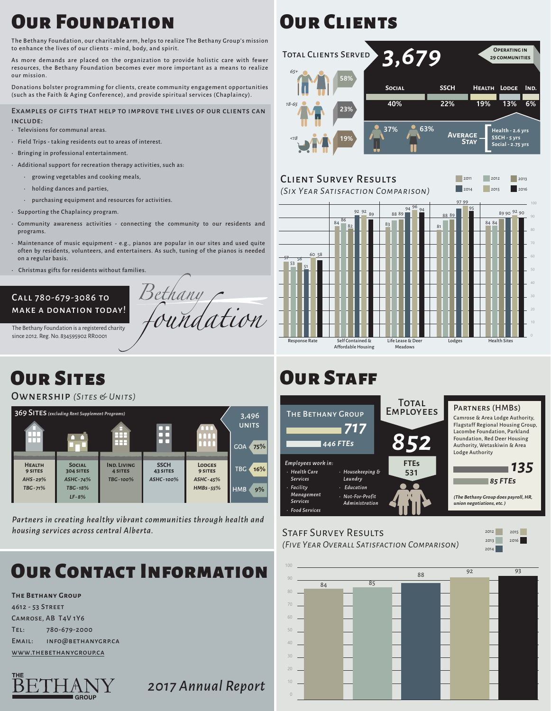## **OUR FOUNDATION**

The Bethany Foundation, our charitable arm, helps to realize The Bethany Group's mission to enhance the lives of our clients - mind, body, and spirit.

As more demands are placed on the organization to provide holistic care with fewer resources, the Bethany Foundation becomes ever more important as a means to realize our mission.

Donations bolster programming for clients, create community engagement opportunities (such as the Faith & Aging Conference), and provide spiritual services (Chaplaincy).

#### Examples of gifts that help to improve the lives of our clients can include:

- • Televisions for communal areas.
- • Field Trips taking residents out to areas of interest.
- • Bringing in professional entertainment.
- $\cdot$  Additional support for recreation therapy activities, such as:
	- • growing vegetables and cooking meals,
	- $\cdot$  holding dances and parties,
	- • purchasing equipment and resources for activities.
- • Supporting the Chaplaincy program.
- • Community awareness activities connecting the community to our residents and programs.
- • Maintenance of music equipment e.g., pianos are popular in our sites and used quite often by residents, volunteers, and entertainers. As such, tuning of the pianos is needed on a regular basis.

Bethany

oundation

• Christmas gifts for residents without families.

#### Call 780-679-3086 to make a donation today!

The Bethany Foundation is a registered charity since 2012. Reg. No. 834595902 RR0001

# Our Sites

Ownership *(Sites & Units)*



*Partners in creating healthy vibrant communities through health and housing services across central Alberta.*

# **OUP CONTACT INFORM**

#### **The Bethany Group**

4612 - 53 Street Camrose, AB T4V 1Y6 Tel: 780-679-2000 Email: info@bethanygrp.ca www.thebethanygroup.ca



*2017 Annual Report*

# **OUR CLIENTS**



### Client Survey Results

*(Six Year Satisfaction Comparison)* <sup>2014</sup>



# **OUR STAFF**



## Staff Survey Results

*(Five Year Overall Satisfaction Comparison)*

2015 2013 2012 2016

2014

2011 2012 2013

2015 2016